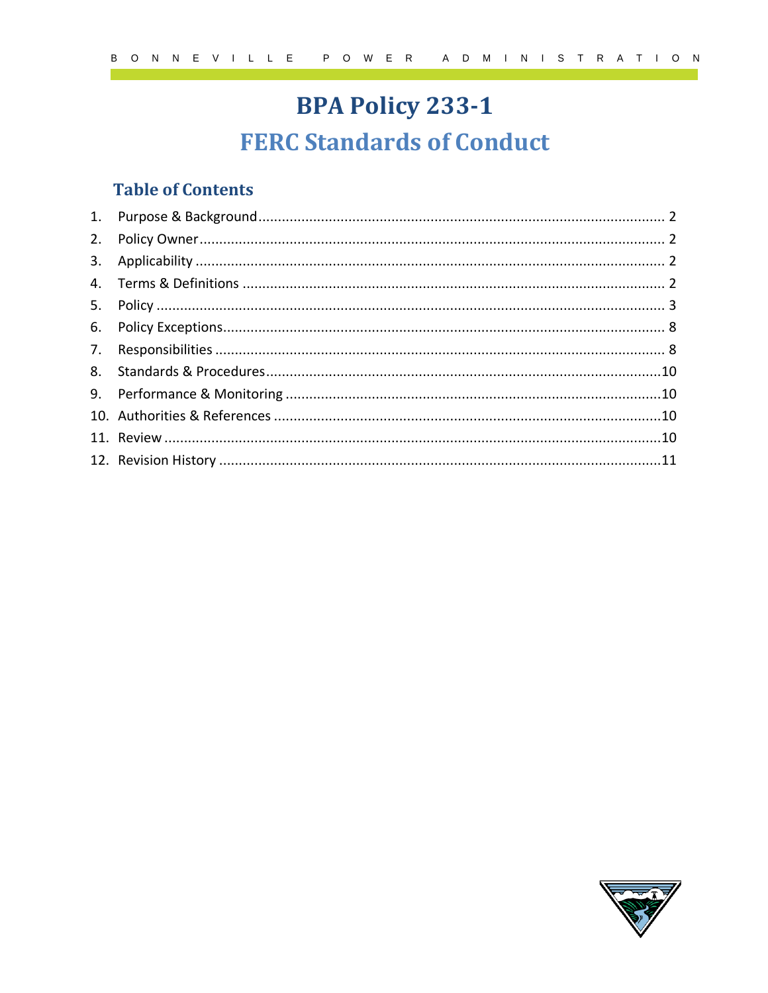# **BPA Policy 233-1 FERC Standards of Conduct**

## **Table of Contents**

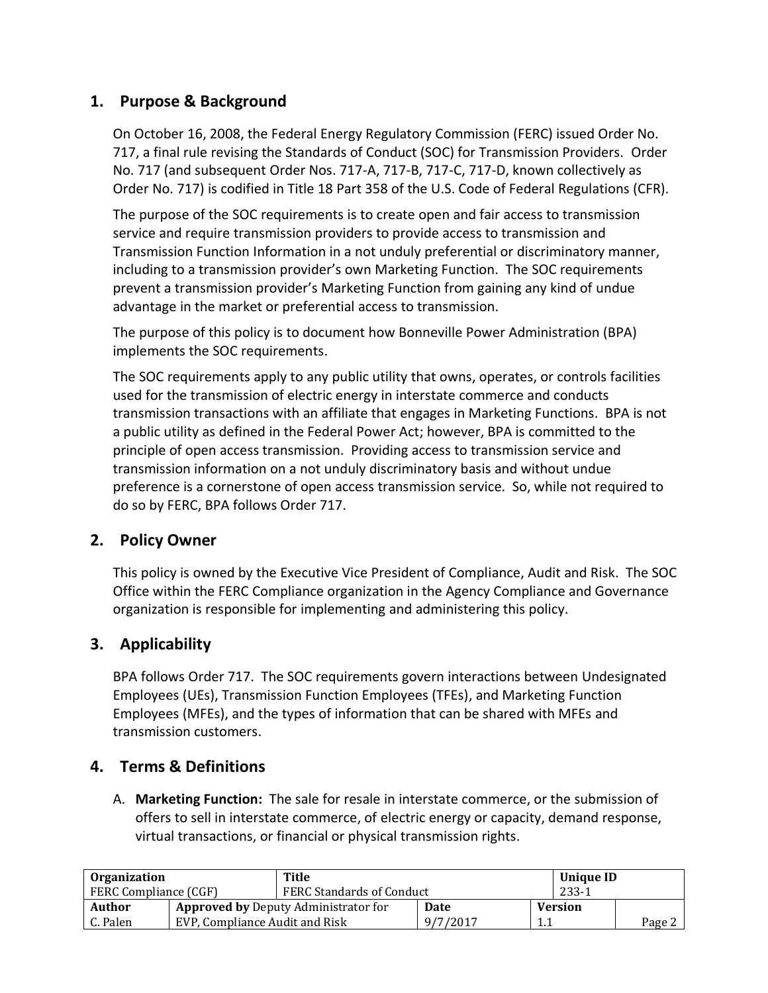## **1. Purpose & Background**

On October 16, 2008, the Federal Energy Regulatory Commission (FERC) issued Order No. 717, a final rule revising the Standards of Conduct (SOC) for Transmission Providers. Order No. 717 (and subsequent Order Nos. 717-A, 717-B, 717-C, 717-D, known collectively as Order No. 717) is codified in Title 18 Part 358 of the U.S. Code of Federal Regulations (CFR).

The purpose of the SOC requirements is to create open and fair access to transmission service and require transmission providers to provide access to transmission and Transmission Function Information in a not unduly preferential or discriminatory manner, including to a transmission provider's own Marketing Function. The SOC requirements prevent a transmission provider's Marketing Function from gaining any kind of undue advantage in the market or preferential access to transmission.

The purpose of this policy is to document how Bonneville Power Administration (BPA) implements the SOC requirements.

The SOC requirements apply to any public utility that owns, operates, or controls facilities used for the transmission of electric energy in interstate commerce and conducts transmission transactions with an affiliate that engages in Marketing Functions. BPA is not a public utility as defined in the Federal Power Act; however, BPA is committed to the principle of open access transmission. Providing access to transmission service and transmission information on a not unduly discriminatory basis and without undue preference is a cornerstone of open access transmission service. So, while not required to do so by FERC, BPA follows Order 717.

## **2. Policy Owner**

This policy is owned by the Executive Vice President of Compliance, Audit and Risk. The SOC Office within the FERC Compliance organization in the Agency Compliance and Governance organization is responsible for implementing and administering this policy.

## **3. Applicability**

BPA follows Order 717. The SOC requirements govern interactions between Undesignated Employees (UEs), Transmission Function Employees (TFEs), and Marketing Function Employees (MFEs), and the types of information that can be shared with MFEs and transmission customers.

## **4. Terms & Definitions**

A. **Marketing Function:** The sale for resale in interstate commerce, or the submission of offers to sell in interstate commerce, of electric energy or capacity, demand response, virtual transactions, or financial or physical transmission rights.

| <b>Organization</b>                                   |                                | Title                            |          |      | Unique ID      |        |
|-------------------------------------------------------|--------------------------------|----------------------------------|----------|------|----------------|--------|
| <b>FERC Compliance (CGF)</b>                          |                                | <b>FERC Standards of Conduct</b> |          |      | $233 - 1$      |        |
| Author<br><b>Approved by Deputy Administrator for</b> |                                |                                  | Date     |      | <b>Version</b> |        |
| C. Palen                                              | EVP, Compliance Audit and Risk |                                  | 9/7/2017 | -1.1 |                | Page 2 |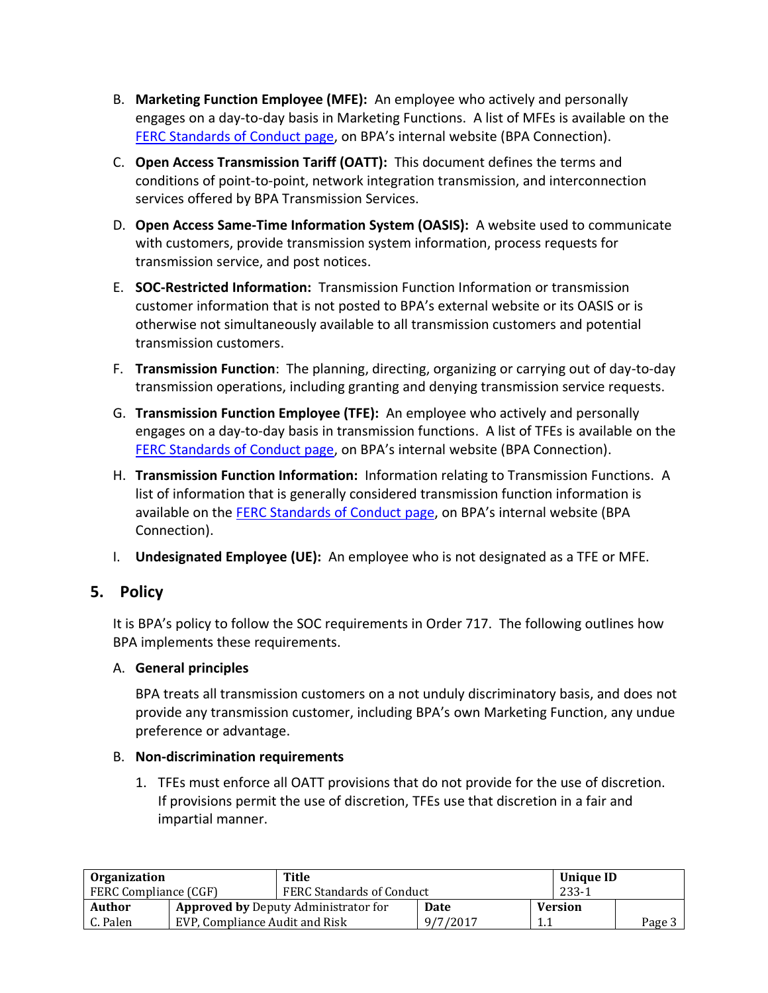- B. **Marketing Function Employee (MFE):** An employee who actively and personally engages on a day-to-day basis in Marketing Functions. A list of MFEs is available on the [FERC Standards of Conduct page](https://internal.bud.bpa.gov/Policy/FERCSOC/Pages/FERCStandardsofConduct.aspx), on BPA's internal website (BPA Connection).
- C. **Open Access Transmission Tariff (OATT):** This document defines the terms and conditions of point-to-point, network integration transmission, and interconnection services offered by BPA Transmission Services.
- D. **Open Access Same-Time Information System (OASIS):** A website used to communicate with customers, provide transmission system information, process requests for transmission service, and post notices.
- E. **SOC-Restricted Information:** Transmission Function Information or transmission customer information that is not posted to BPA's external website or its OASIS or is otherwise not simultaneously available to all transmission customers and potential transmission customers.
- F. **Transmission Function**: The planning, directing, organizing or carrying out of day-to-day transmission operations, including granting and denying transmission service requests.
- G. **Transmission Function Employee (TFE):** An employee who actively and personally engages on a day-to-day basis in transmission functions. A list of TFEs is available on the [FERC Standards of Conduct](https://internal.bud.bpa.gov/Policy/FERCSOC/Pages/FERCStandardsofConduct.aspx) page, on BPA's internal website (BPA Connection).
- H. **Transmission Function Information:** Information relating to Transmission Functions. A list of information that is generally considered transmission function information is available on the [FERC Standards of Conduct](https://internal.bud.bpa.gov/Policy/FERCSOC/Pages/FERCStandardsofConduct.aspx) page, on BPA's internal website (BPA Connection).
- I. **Undesignated Employee (UE):** An employee who is not designated as a TFE or MFE.

## **5. Policy**

It is BPA's policy to follow the SOC requirements in Order 717. The following outlines how BPA implements these requirements.

#### A. **General principles**

BPA treats all transmission customers on a not unduly discriminatory basis, and does not provide any transmission customer, including BPA's own Marketing Function, any undue preference or advantage.

#### B. **Non-discrimination requirements**

1. TFEs must enforce all OATT provisions that do not provide for the use of discretion. If provisions permit the use of discretion, TFEs use that discretion in a fair and impartial manner.

| <b>Organization</b>          |                                | Title                                       |                                  |  | Unique ID      |        |
|------------------------------|--------------------------------|---------------------------------------------|----------------------------------|--|----------------|--------|
| <b>FERC Compliance (CGF)</b> |                                |                                             | <b>FERC Standards of Conduct</b> |  | $233 - 1$      |        |
| Author                       |                                | <b>Approved by Deputy Administrator for</b> | Date                             |  | <b>Version</b> |        |
| C. Palen                     | EVP, Compliance Audit and Risk |                                             | 9/7/2017                         |  |                | Page 5 |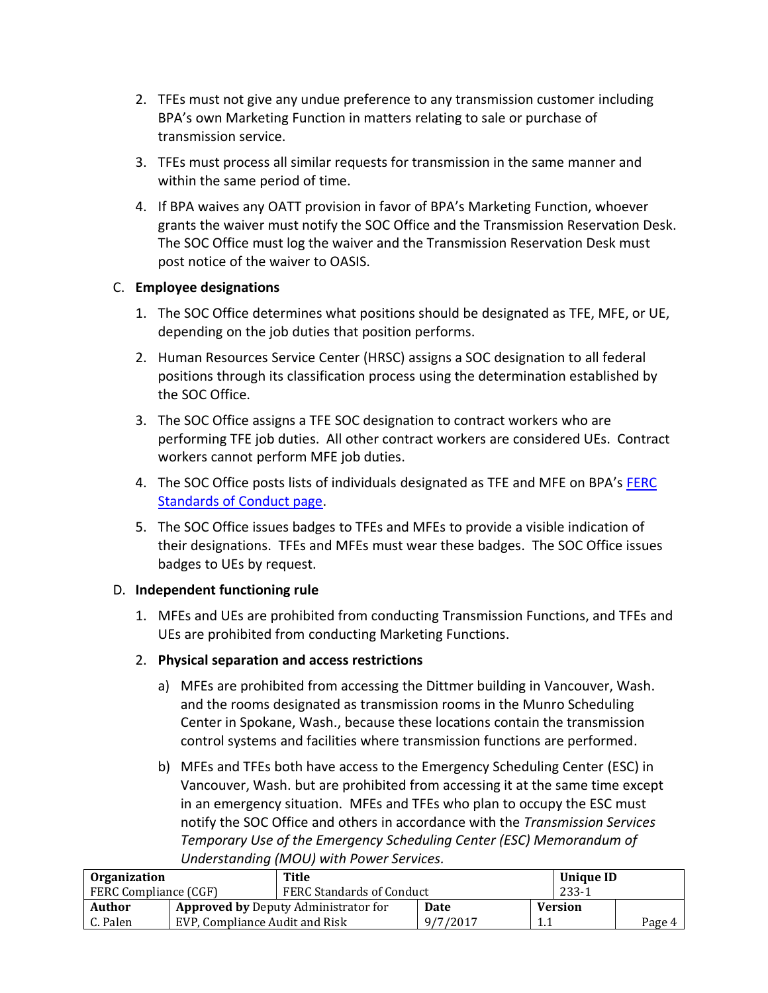- 2. TFEs must not give any undue preference to any transmission customer including BPA's own Marketing Function in matters relating to sale or purchase of transmission service.
- 3. TFEs must process all similar requests for transmission in the same manner and within the same period of time.
- 4. If BPA waives any OATT provision in favor of BPA's Marketing Function, whoever grants the waiver must notify the SOC Office and the Transmission Reservation Desk. The SOC Office must log the waiver and the Transmission Reservation Desk must post notice of the waiver to OASIS.

#### C. **Employee designations**

- 1. The SOC Office determines what positions should be designated as TFE, MFE, or UE, depending on the job duties that position performs.
- 2. Human Resources Service Center (HRSC) assigns a SOC designation to all federal positions through its classification process using the determination established by the SOC Office.
- 3. The SOC Office assigns a TFE SOC designation to contract workers who are performing TFE job duties. All other contract workers are considered UEs. Contract workers cannot perform MFE job duties.
- 4. The SOC Office posts lists of individuals designated as TFE and MFE on BPA's [FERC](https://internal.bud.bpa.gov/Policy/FERCSOC/Pages/FERCStandardsofConduct.aspx)  [Standards of Conduct page.](https://internal.bud.bpa.gov/Policy/FERCSOC/Pages/FERCStandardsofConduct.aspx)
- 5. The SOC Office issues badges to TFEs and MFEs to provide a visible indication of their designations. TFEs and MFEs must wear these badges. The SOC Office issues badges to UEs by request.

#### D. **Independent functioning rule**

- 1. MFEs and UEs are prohibited from conducting Transmission Functions, and TFEs and UEs are prohibited from conducting Marketing Functions.
- 2. **Physical separation and access restrictions**
	- a) MFEs are prohibited from accessing the Dittmer building in Vancouver, Wash. and the rooms designated as transmission rooms in the Munro Scheduling Center in Spokane, Wash., because these locations contain the transmission control systems and facilities where transmission functions are performed.
	- b) MFEs and TFEs both have access to the Emergency Scheduling Center (ESC) in Vancouver, Wash. but are prohibited from accessing it at the same time except in an emergency situation. MFEs and TFEs who plan to occupy the ESC must notify the SOC Office and others in accordance with the *Transmission Services Temporary Use of the Emergency Scheduling Center (ESC) Memorandum of Understanding (MOU) with Power Services.*

| <b>Organization</b>   |                                | Title                                       |          |     | Unique ID      |        |
|-----------------------|--------------------------------|---------------------------------------------|----------|-----|----------------|--------|
| FERC Compliance (CGF) |                                | <b>FERC Standards of Conduct</b>            |          |     | $233 - 1$      |        |
| Author                |                                | <b>Approved by Deputy Administrator for</b> | Date     |     | <b>Version</b> |        |
| C. Palen              | EVP, Compliance Audit and Risk |                                             | 9/7/2017 | 1.1 |                | Page 4 |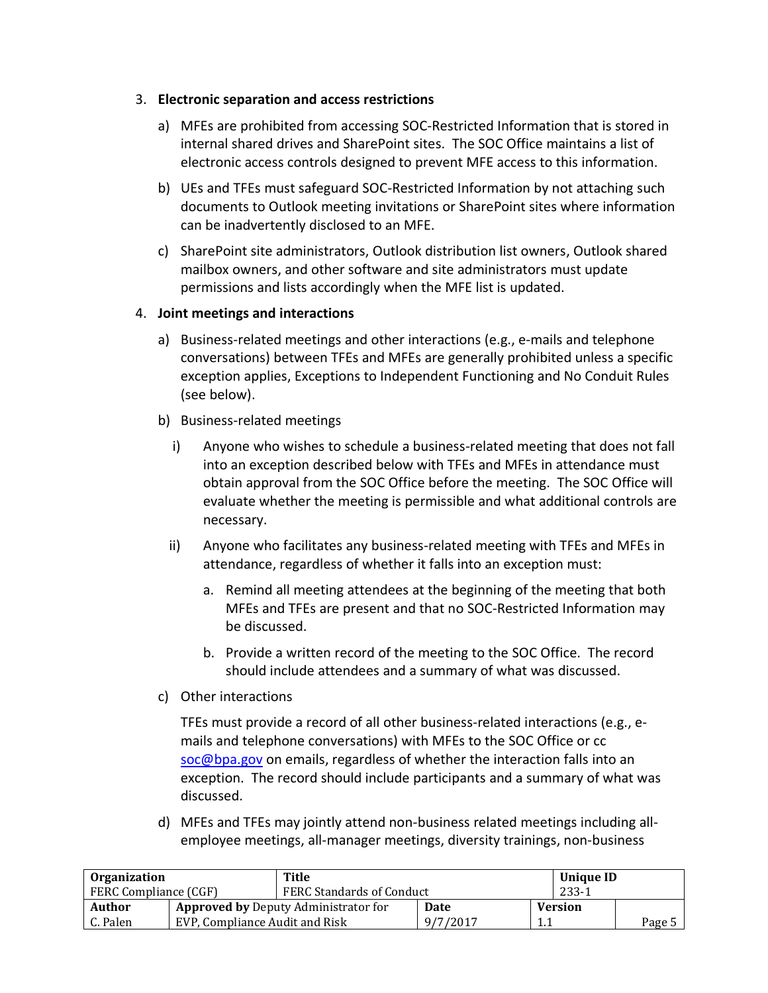#### 3. **Electronic separation and access restrictions**

- a) MFEs are prohibited from accessing SOC-Restricted Information that is stored in internal shared drives and SharePoint sites. The SOC Office maintains a list of electronic access controls designed to prevent MFE access to this information.
- b) UEs and TFEs must safeguard SOC-Restricted Information by not attaching such documents to Outlook meeting invitations or SharePoint sites where information can be inadvertently disclosed to an MFE.
- c) SharePoint site administrators, Outlook distribution list owners, Outlook shared mailbox owners, and other software and site administrators must update permissions and lists accordingly when the MFE list is updated.

#### 4. **Joint meetings and interactions**

- a) Business-related meetings and other interactions (e.g., e-mails and telephone conversations) between TFEs and MFEs are generally prohibited unless a specific exception applies, Exceptions to Independent Functioning and No Conduit Rules (see below).
- b) Business-related meetings
	- i) Anyone who wishes to schedule a business-related meeting that does not fall into an exception described below with TFEs and MFEs in attendance must obtain approval from the SOC Office before the meeting. The SOC Office will evaluate whether the meeting is permissible and what additional controls are necessary.
	- ii) Anyone who facilitates any business-related meeting with TFEs and MFEs in attendance, regardless of whether it falls into an exception must:
		- a. Remind all meeting attendees at the beginning of the meeting that both MFEs and TFEs are present and that no SOC-Restricted Information may be discussed.
		- b. Provide a written record of the meeting to the SOC Office. The record should include attendees and a summary of what was discussed.
- c) Other interactions

TFEs must provide a record of all other business-related interactions (e.g., emails and telephone conversations) with MFEs to the SOC Office or cc [soc@bpa.gov](mailto:soc@bpa.gov) on emails, regardless of whether the interaction falls into an exception. The record should include participants and a summary of what was discussed.

d) MFEs and TFEs may jointly attend non-business related meetings including allemployee meetings, all-manager meetings, diversity trainings, non-business

| <b>Organization</b>                                   |                                | Title                            |          |     | Unique ID      |        |
|-------------------------------------------------------|--------------------------------|----------------------------------|----------|-----|----------------|--------|
| <b>FERC Compliance (CGF)</b>                          |                                | <b>FERC Standards of Conduct</b> |          |     | $233 - 1$      |        |
| Author<br><b>Approved by Deputy Administrator for</b> |                                |                                  | Date     |     | <b>Version</b> |        |
| C. Palen                                              | EVP, Compliance Audit and Risk |                                  | 9/7/2017 | 1.1 |                | Page 5 |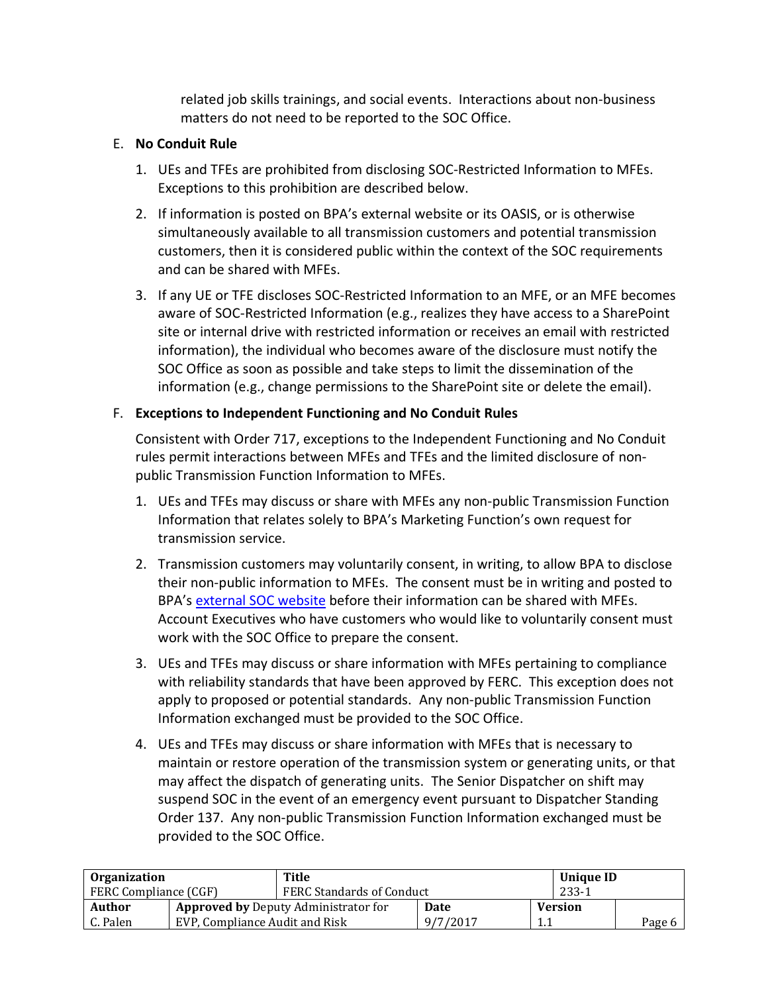related job skills trainings, and social events. Interactions about non-business matters do not need to be reported to the SOC Office.

#### E. **No Conduit Rule**

- 1. UEs and TFEs are prohibited from disclosing SOC-Restricted Information to MFEs. Exceptions to this prohibition are described below.
- 2. If information is posted on BPA's external website or its OASIS, or is otherwise simultaneously available to all transmission customers and potential transmission customers, then it is considered public within the context of the SOC requirements and can be shared with MFEs.
- 3. If any UE or TFE discloses SOC-Restricted Information to an MFE, or an MFE becomes aware of SOC-Restricted Information (e.g., realizes they have access to a SharePoint site or internal drive with restricted information or receives an email with restricted information), the individual who becomes aware of the disclosure must notify the SOC Office as soon as possible and take steps to limit the dissemination of the information (e.g., change permissions to the SharePoint site or delete the email).

#### F. **Exceptions to Independent Functioning and No Conduit Rules**

Consistent with Order 717, exceptions to the Independent Functioning and No Conduit rules permit interactions between MFEs and TFEs and the limited disclosure of nonpublic Transmission Function Information to MFEs.

- 1. UEs and TFEs may discuss or share with MFEs any non-public Transmission Function Information that relates solely to BPA's Marketing Function's own request for transmission service.
- 2. Transmission customers may voluntarily consent, in writing, to allow BPA to disclose their non-public information to MFEs. The consent must be in writing and posted to BPA's [external SOC website](https://www.bpa.gov/transmission/Doing%20Business/Pages/StandardsofConduct.aspx) before their information can be shared with MFEs. Account Executives who have customers who would like to voluntarily consent must work with the SOC Office to prepare the consent.
- 3. UEs and TFEs may discuss or share information with MFEs pertaining to compliance with reliability standards that have been approved by FERC. This exception does not apply to proposed or potential standards. Any non-public Transmission Function Information exchanged must be provided to the SOC Office.
- 4. UEs and TFEs may discuss or share information with MFEs that is necessary to maintain or restore operation of the transmission system or generating units, or that may affect the dispatch of generating units. The Senior Dispatcher on shift may suspend SOC in the event of an emergency event pursuant to Dispatcher Standing Order 137. Any non-public Transmission Function Information exchanged must be provided to the SOC Office.

| <b>Organization</b>   |                                | Title                                       |          |     | <b>Unique ID</b> |        |
|-----------------------|--------------------------------|---------------------------------------------|----------|-----|------------------|--------|
| FERC Compliance (CGF) |                                | <b>FERC Standards of Conduct</b>            |          |     | $233 - 1$        |        |
| Author                |                                | <b>Approved by Deputy Administrator for</b> | Date     |     | <b>Version</b>   |        |
| C. Palen              | EVP, Compliance Audit and Risk |                                             | 9/7/2017 | 1.1 |                  | Page 6 |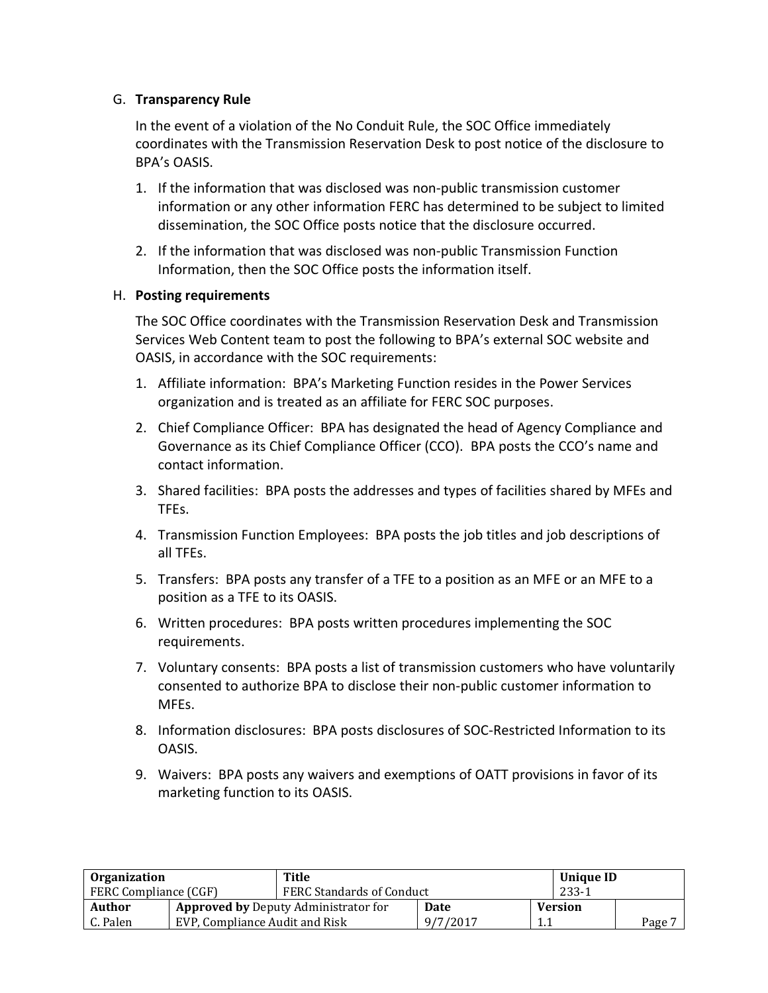#### G. **Transparency Rule**

In the event of a violation of the No Conduit Rule, the SOC Office immediately coordinates with the Transmission Reservation Desk to post notice of the disclosure to BPA's OASIS.

- 1. If the information that was disclosed was non-public transmission customer information or any other information FERC has determined to be subject to limited dissemination, the SOC Office posts notice that the disclosure occurred.
- 2. If the information that was disclosed was non-public Transmission Function Information, then the SOC Office posts the information itself.

#### H. **Posting requirements**

The SOC Office coordinates with the Transmission Reservation Desk and Transmission Services Web Content team to post the following to BPA's external SOC website and OASIS, in accordance with the SOC requirements:

- 1. Affiliate information: BPA's Marketing Function resides in the Power Services organization and is treated as an affiliate for FERC SOC purposes.
- 2. Chief Compliance Officer: BPA has designated the head of Agency Compliance and Governance as its Chief Compliance Officer (CCO). BPA posts the CCO's name and contact information.
- 3. Shared facilities: BPA posts the addresses and types of facilities shared by MFEs and TFEs.
- 4. Transmission Function Employees: BPA posts the job titles and job descriptions of all TFEs.
- 5. Transfers: BPA posts any transfer of a TFE to a position as an MFE or an MFE to a position as a TFE to its OASIS.
- 6. Written procedures: BPA posts written procedures implementing the SOC requirements.
- 7. Voluntary consents: BPA posts a list of transmission customers who have voluntarily consented to authorize BPA to disclose their non-public customer information to MFEs.
- 8. Information disclosures: BPA posts disclosures of SOC-Restricted Information to its OASIS.
- 9. Waivers: BPA posts any waivers and exemptions of OATT provisions in favor of its marketing function to its OASIS.

| <b>Organization</b>          |                                | Title                                       |          |           | <b>Unique ID</b> |        |
|------------------------------|--------------------------------|---------------------------------------------|----------|-----------|------------------|--------|
| <b>FERC Compliance (CGF)</b> |                                | FERC Standards of Conduct                   |          | $233 - 1$ |                  |        |
| <b>Author</b>                |                                | <b>Approved by Deputy Administrator for</b> | Date     |           | <b>Version</b>   |        |
| C. Palen                     | EVP. Compliance Audit and Risk |                                             | 9/7/2017 |           |                  | Page 7 |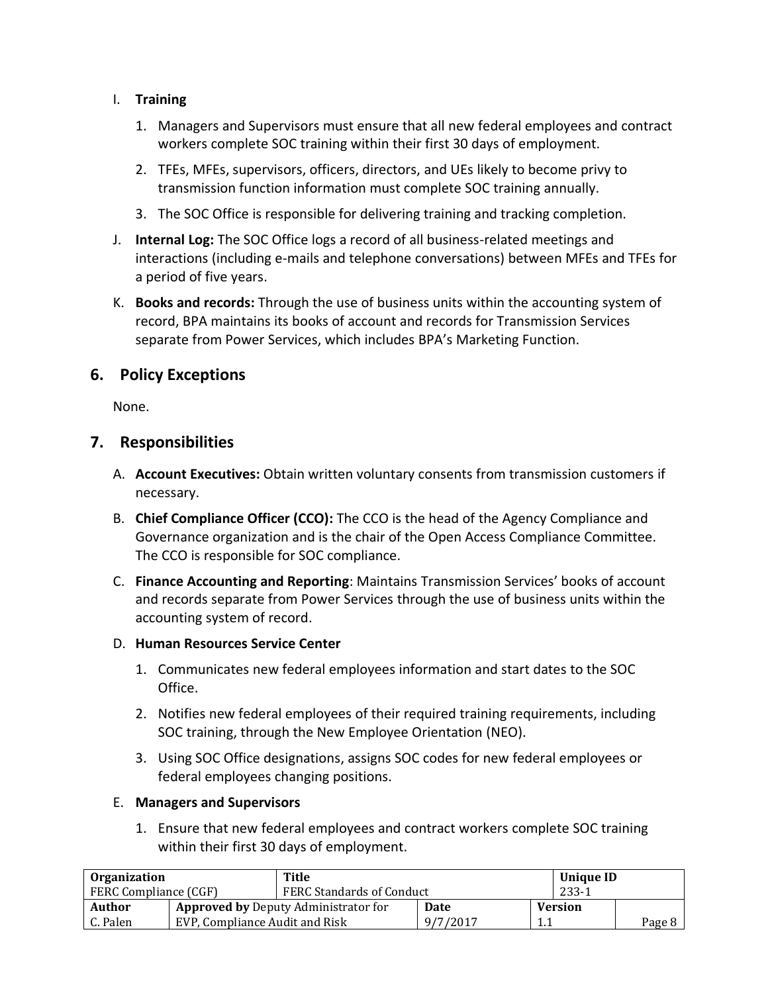- I. **Training**
	- 1. Managers and Supervisors must ensure that all new federal employees and contract workers complete SOC training within their first 30 days of employment.
	- 2. TFEs, MFEs, supervisors, officers, directors, and UEs likely to become privy to transmission function information must complete SOC training annually.
	- 3. The SOC Office is responsible for delivering training and tracking completion.
- J. **Internal Log:** The SOC Office logs a record of all business-related meetings and interactions (including e-mails and telephone conversations) between MFEs and TFEs for a period of five years.
- K. **Books and records:** Through the use of business units within the accounting system of record, BPA maintains its books of account and records for Transmission Services separate from Power Services, which includes BPA's Marketing Function.

## **6. Policy Exceptions**

None.

## **7. Responsibilities**

- A. **Account Executives:** Obtain written voluntary consents from transmission customers if necessary.
- B. **Chief Compliance Officer (CCO):** The CCO is the head of the Agency Compliance and Governance organization and is the chair of the Open Access Compliance Committee. The CCO is responsible for SOC compliance.
- C. **Finance Accounting and Reporting**: Maintains Transmission Services' books of account and records separate from Power Services through the use of business units within the accounting system of record.

#### D. **Human Resources Service Center**

- 1. Communicates new federal employees information and start dates to the SOC Office.
- 2. Notifies new federal employees of their required training requirements, including SOC training, through the New Employee Orientation (NEO).
- 3. Using SOC Office designations, assigns SOC codes for new federal employees or federal employees changing positions.

#### E. **Managers and Supervisors**

1. Ensure that new federal employees and contract workers complete SOC training within their first 30 days of employment.

| <b>Organization</b>                                   |                                | Title                            |          |                | <b>Unique ID</b> |        |
|-------------------------------------------------------|--------------------------------|----------------------------------|----------|----------------|------------------|--------|
| <b>FERC Compliance (CGF)</b>                          |                                | <b>FERC Standards of Conduct</b> |          | 233-1          |                  |        |
| Author<br><b>Approved by Deputy Administrator for</b> |                                | Date                             |          | <b>Version</b> |                  |        |
| C. Palen                                              | EVP, Compliance Audit and Risk |                                  | 9/7/2017 | 1.1            |                  | Page 8 |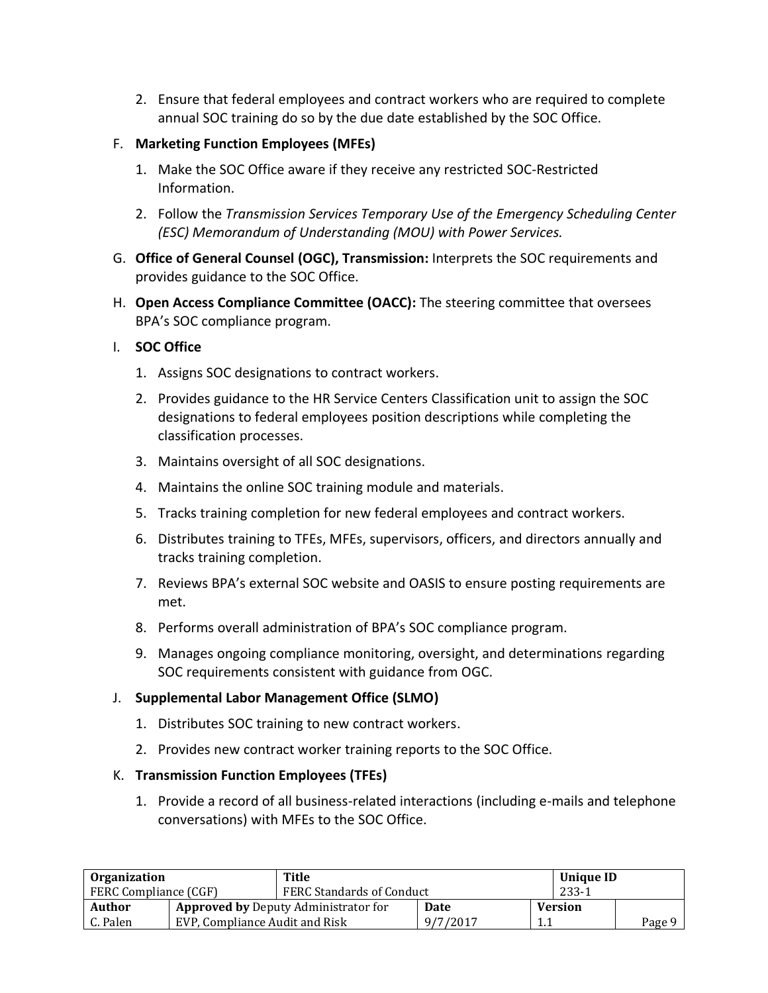- 2. Ensure that federal employees and contract workers who are required to complete annual SOC training do so by the due date established by the SOC Office.
- F. **Marketing Function Employees (MFEs)**
	- 1. Make the SOC Office aware if they receive any restricted SOC-Restricted Information.
	- 2. Follow the *Transmission Services Temporary Use of the Emergency Scheduling Center (ESC) Memorandum of Understanding (MOU) with Power Services.*
- G. **Office of General Counsel (OGC), Transmission:** Interprets the SOC requirements and provides guidance to the SOC Office.
- H. **Open Access Compliance Committee (OACC):** The steering committee that oversees BPA's SOC compliance program.

#### I. **SOC Office**

- 1. Assigns SOC designations to contract workers.
- 2. Provides guidance to the HR Service Centers Classification unit to assign the SOC designations to federal employees position descriptions while completing the classification processes.
- 3. Maintains oversight of all SOC designations.
- 4. Maintains the online SOC training module and materials.
- 5. Tracks training completion for new federal employees and contract workers.
- 6. Distributes training to TFEs, MFEs, supervisors, officers, and directors annually and tracks training completion.
- 7. Reviews BPA's external SOC website and OASIS to ensure posting requirements are met.
- 8. Performs overall administration of BPA's SOC compliance program.
- 9. Manages ongoing compliance monitoring, oversight, and determinations regarding SOC requirements consistent with guidance from OGC.

#### J. **Supplemental Labor Management Office (SLMO)**

- 1. Distributes SOC training to new contract workers.
- 2. Provides new contract worker training reports to the SOC Office.

#### K. **Transmission Function Employees (TFEs)**

1. Provide a record of all business-related interactions (including e-mails and telephone conversations) with MFEs to the SOC Office.

| <b>Organization</b>                                   |                                | Title                            |          |     | Unique ID      |        |
|-------------------------------------------------------|--------------------------------|----------------------------------|----------|-----|----------------|--------|
| <b>FERC Compliance (CGF)</b>                          |                                | <b>FERC Standards of Conduct</b> |          |     | $233 - 1$      |        |
| Author<br><b>Approved by Deputy Administrator for</b> |                                |                                  | Date     |     | <b>Version</b> |        |
| C. Palen                                              | EVP, Compliance Audit and Risk |                                  | 9/7/2017 | 1.1 |                | Page 9 |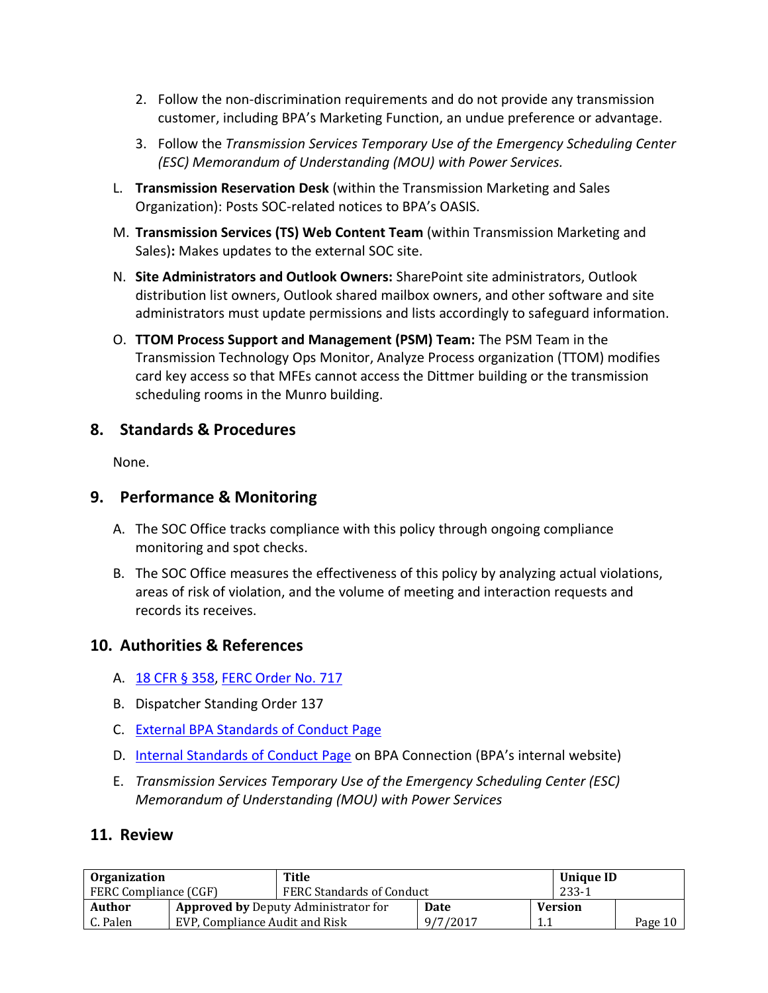- 2. Follow the non-discrimination requirements and do not provide any transmission customer, including BPA's Marketing Function, an undue preference or advantage.
- 3. Follow the *Transmission Services Temporary Use of the Emergency Scheduling Center (ESC) Memorandum of Understanding (MOU) with Power Services.*
- L. **Transmission Reservation Desk** (within the Transmission Marketing and Sales Organization): Posts SOC-related notices to BPA's OASIS.
- M. **Transmission Services (TS) Web Content Team** (within Transmission Marketing and Sales)**:** Makes updates to the external SOC site.
- N. **Site Administrators and Outlook Owners:** SharePoint site administrators, Outlook distribution list owners, Outlook shared mailbox owners, and other software and site administrators must update permissions and lists accordingly to safeguard information.
- O. **TTOM Process Support and Management (PSM) Team:** The PSM Team in the Transmission Technology Ops Monitor, Analyze Process organization (TTOM) modifies card key access so that MFEs cannot access the Dittmer building or the transmission scheduling rooms in the Munro building.

## **8. Standards & Procedures**

None.

## **9. Performance & Monitoring**

- A. The SOC Office tracks compliance with this policy through ongoing compliance monitoring and spot checks.
- B. The SOC Office measures the effectiveness of this policy by analyzing actual violations, areas of risk of violation, and the volume of meeting and interaction requests and records its receives.

## **10. Authorities & References**

- A. [18 CFR § 358,](http://www.ecfr.gov/cgi-bin/text-idx?SID=b6db6de08717f5427325264007fe786f&pitd=20150701&node=pt18.1.358&rgn=div5) [FERC Order No. 717](https://www.ferc.gov/legal/maj-ord-reg/stand-conduct.asp)
- B. Dispatcher Standing Order 137
- C. [External BPA Standards of Conduct Page](https://www.bpa.gov/transmission/Doing%20Business/Pages/StandardsofConduct.aspx)
- D. [Internal Standards of Conduct](https://internal.bud.bpa.gov/Policy/FERCSOC/Pages/FERCStandardsofConduct.aspx) Page on BPA Connection (BPA's internal website)
- E. *Transmission Services Temporary Use of the Emergency Scheduling Center (ESC) Memorandum of Understanding (MOU) with Power Services*

#### **11. Review**

| <b>Organization</b>   |                                | Title                                       |          |           | Unique ID      |         |
|-----------------------|--------------------------------|---------------------------------------------|----------|-----------|----------------|---------|
| FERC Compliance (CGF) |                                | <b>FERC Standards of Conduct</b>            |          | $233 - 1$ |                |         |
| Author                |                                | <b>Approved by Deputy Administrator for</b> | Date     |           | <b>Version</b> |         |
| C. Palen              | EVP. Compliance Audit and Risk |                                             | 9/7/2017 | 1.1       |                | Page 10 |